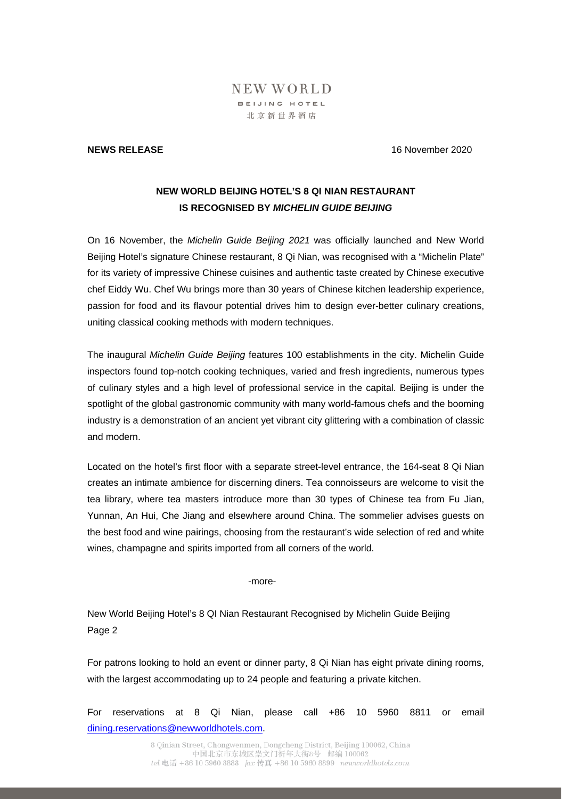## NEW WORLD BEIJING HOTEL 北京新世界酒店

## **NEWS RELEASE** 16 November 2020

## **NEW WORLD BEIJING HOTEL'S 8 QI NIAN RESTAURANT IS RECOGNISED BY** *MICHELIN GUIDE BEIJING*

On 16 November, the *Michelin Guide Beijing 2021* was officially launched and New World Beijing Hotel's signature Chinese restaurant, 8 Qi Nian, was recognised with a "Michelin Plate" for its variety of impressive Chinese cuisines and authentic taste created by Chinese executive chef Eiddy Wu. Chef Wu brings more than 30 years of Chinese kitchen leadership experience, passion for food and its flavour potential drives him to design ever-better culinary creations, uniting classical cooking methods with modern techniques.

The inaugural *Michelin Guide Beijing* features 100 establishments in the city. Michelin Guide inspectors found top-notch cooking techniques, varied and fresh ingredients, numerous types of culinary styles and a high level of professional service in the capital. Beijing is under the spotlight of the global gastronomic community with many world-famous chefs and the booming industry is a demonstration of an ancient yet vibrant city glittering with a combination of classic and modern.

Located on the hotel's first floor with a separate street-level entrance, the 164-seat 8 Qi Nian creates an intimate ambience for discerning diners. Tea connoisseurs are welcome to visit the tea library, where tea masters introduce more than 30 types of Chinese tea from Fu Jian, Yunnan, An Hui, Che Jiang and elsewhere around China. The sommelier advises guests on the best food and wine pairings, choosing from the restaurant's wide selection of red and white wines, champagne and spirits imported from all corners of the world.

-more-

New World Beijing Hotel's 8 QI Nian Restaurant Recognised by Michelin Guide Beijing Page 2

For patrons looking to hold an event or dinner party, 8 Qi Nian has eight private dining rooms, with the largest accommodating up to 24 people and featuring a private kitchen.

For reservations at 8 Qi Nian, please call +86 10 5960 8811 or email dining.reservations@newworldhotels.com.